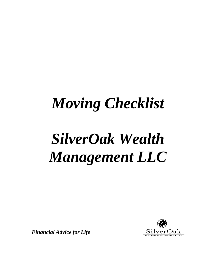## *Moving Checklist*

# *SilverOak Wealth Management LLC*

*Financial Advice for Life*

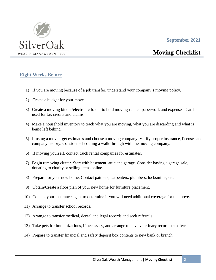#### **September 2021**



### **Moving Checklist**

#### **Eight Weeks Before**

- 1) If you are moving because of a job transfer, understand your company's moving policy.
- 2) Create a budget for your move.
- 3) Create a moving binder/electronic folder to hold moving-related paperwork and expenses. Can be used for tax credits and claims.
- 4) Make a household inventory to track what you are moving, what you are discarding and what is being left behind.
- 5) If using a mover, get estimates and choose a moving company. Verify proper insurance, licenses and company history. Consider scheduling a walk-through with the moving company.
- 6) If moving yourself, contact truck rental companies for estimates.
- 7) Begin removing clutter. Start with basement, attic and garage. Consider having a garage sale, donating to charity or selling items online.
- 8) Prepare for your new home. Contact painters, carpenters, plumbers, locksmiths, etc.
- 9) Obtain/Create a floor plan of your new home for furniture placement.
- 10) Contact your insurance agent to determine if you will need additional coverage for the move.
- 11) Arrange to transfer school records.
- 12) Arrange to transfer medical, dental and legal records and seek referrals.
- 13) Take pets for immunizations, if necessary, and arrange to have veterinary records transferred.
- 14) Prepare to transfer financial and safety deposit box contents to new bank or branch.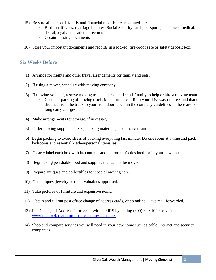- 15) Be sure all personal, family and financial records are accounted for:
	- Birth certificates, marriage licenses, Social Security cards, passports, insurance, medical, dental, legal and academic records
	- Obtain missing documents
- 16) Store your important documents and records in a locked, fire-proof safe or safety deposit box.

#### **Six Weeks Before**

- 1) Arrange for flights and other travel arrangements for family and pets.
- 2) If using a mover, schedule with moving company.
- 3) If moving yourself, reserve moving truck and contact friends/family to help or hire a moving team.
	- Consider parking of moving truck. Make sure it can fit in your driveway or street and that the distance from the truck to your front door is within the company guidelines so there are no long carry charges.
- 4) Make arrangements for storage, if necessary.
- 5) Order moving supplies: boxes, packing materials, tape, markers and labels.
- 6) Begin packing to avoid stress of packing everything last minute. Do one room at a time and pack bedrooms and essential kitchen/personal items last.
- 7) Clearly label each box with its contents and the room it's destined for in your new house.
- 8) Begin using perishable food and supplies that cannot be moved.
- 9) Prepare antiques and collectibles for special moving care.
- 10) Get antiques, jewelry or other valuables appraised.
- 11) Take pictures of furniture and expensive items.
- 12) Obtain and fill out post office change of address cards, or do online. Have mail forwarded.
- 13) File Change of Address Form 8822 with the IRS by calling (800) 829-1040 or visit www.irs.gov/faqs/irs-procedures/address-changes
- 14) Shop and compare services you will need in your new home such as cable, internet and security companies.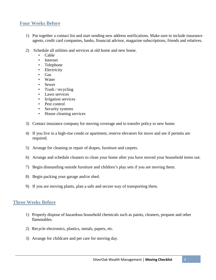#### **Four Weeks Before**

- 1) Put together a contact list and start sending new address notifications. Make sure to include insurance agents, credit card companies, banks, financial advisor, magazine subscriptions, friends and relatives.
- 2) Schedule all utilities and services at old home and new home.
	- Cable
	- **Internet**
	- Telephone
	- Electricity
	- Gas
	- Water
	- Sewer
	- Trash / recycling
	- Lawn services
	- Irrigation services
	- Pest control
	- Security systems
	- House cleaning services
- 3) Contact insurance company for moving coverage and to transfer policy to new home.
- 4) If you live in a high-rise condo or apartment, reserve elevators for move and see if permits are required.
- 5) Arrange for cleaning or repair of drapes, furniture and carpets.
- 6) Arrange and schedule cleaners to clean your home after you have moved your household items out.
- 7) Begin dismantling outside furniture and children's play sets if you are moving them.
- 8) Begin packing your garage and/or shed.
- 9) If you are moving plants, plan a safe and secure way of transporting them.

#### **Three Weeks Before**

- 1) Properly dispose of hazardous household chemicals such as paints, cleaners, propane and other flammables.
- 2) Recycle electronics, plastics, metals, papers, etc.
- 3) Arrange for childcare and pet care for moving day.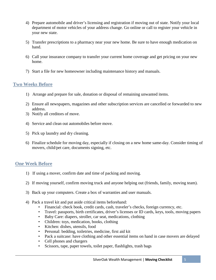- 4) Prepare automobile and driver's licensing and registration if moving out of state. Notify your local department of motor vehicles of your address change. Go online or call to register your vehicle in your new state.
- 5) Transfer prescriptions to a pharmacy near your new home. Be sure to have enough medication on hand.
- 6) Call your insurance company to transfer your current home coverage and get pricing on your new home.
- 7) Start a file for new homeowner including maintenance history and manuals.

#### **Two Weeks Before**

- 1) Arrange and prepare for sale, donation or disposal of remaining unwanted items.
- 2) Ensure all newspapers, magazines and other subscription services are cancelled or forwarded to new address.
- 3) Notify all creditors of move.
- 4) Service and clean out automobiles before move.
- 5) Pick up laundry and dry cleaning.
- 6) Finalize schedule for moving day, especially if closing on a new home same-day. Consider timing of movers, child/pet care, documents signing, etc.

#### **One Week Before**

- 1) If using a mover, confirm date and time of packing and moving.
- 2) If moving yourself, confirm moving truck and anyone helping out (friends, family, moving team).
- 3) Back up your computers. Create a box of warranties and user manuals.
- 4) Pack a travel kit and put aside critical items beforehand:
	- Financial: check book, credit cards, cash, traveler's checks, foreign currency, etc.
	- Travel: passports, birth certificates, driver's licenses or ID cards, keys, tools, moving papers
	- Baby Care: diapers, stroller, car seat, medications, clothing
	- Children: toys, medication, books, clothing
	- Kitchen: dishes, utensils, food
	- Personal: bedding, toiletries, medicine, first aid kit
	- Pack a suitcase: have clothing and other essential items on hand in case movers are delayed
	- Cell phones and chargers
	- Scissors, tape, paper towels, toilet paper, flashlights, trash bags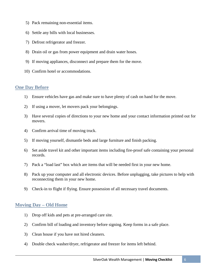- 5) Pack remaining non-essential items.
- 6) Settle any bills with local businesses.
- 7) Defrost refrigerator and freezer.
- 8) Drain oil or gas from power equipment and drain water hoses.
- 9) If moving appliances, disconnect and prepare them for the move.
- 10) Confirm hotel or accommodations.

#### **One Day Before**

- 1) Ensure vehicles have gas and make sure to have plenty of cash on hand for the move.
- 2) If using a mover, let movers pack your belongings.
- 3) Have several copies of directions to your new home and your contact information printed out for movers.
- 4) Confirm arrival time of moving truck.
- 5) If moving yourself, dismantle beds and large furniture and finish packing.
- 6) Set aside travel kit and other important items including fire-proof safe containing your personal records.
- 7) Pack a "load last" box which are items that will be needed first in your new home.
- 8) Pack up your computer and all electronic devices. Before unplugging, take pictures to help with reconnecting them in your new home.
- 9) Check-in to flight if flying. Ensure possession of all necessary travel documents.

#### **Moving Day – Old Home**

- 1) Drop off kids and pets at pre-arranged care site.
- 2) Confirm bill of loading and inventory before signing. Keep forms in a safe place.
- 3) Clean house if you have not hired cleaners.
- 4) Double check washer/dryer, refrigerator and freezer for items left behind.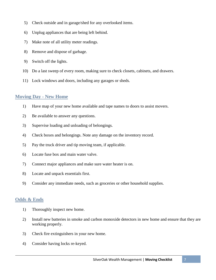- 5) Check outside and in garage/shed for any overlooked items.
- 6) Unplug appliances that are being left behind.
- 7) Make note of all utility meter readings.
- 8) Remove and dispose of garbage.
- 9) Switch off the lights.
- 10) Do a last sweep of every room, making sure to check closets, cabinets, and drawers.
- 11) Lock windows and doors, including any garages or sheds.

#### **Moving Day - New Home**

- 1) Have map of your new home available and tape names to doors to assist movers.
- 2) Be available to answer any questions.
- 3) Supervise loading and unloading of belongings.
- 4) Check boxes and belongings. Note any damage on the inventory record.
- 5) Pay the truck driver and tip moving team, if applicable.
- 6) Locate fuse box and main water valve.
- 7) Connect major appliances and make sure water heater is on.
- 8) Locate and unpack essentials first.
- 9) Consider any immediate needs, such as groceries or other household supplies.

#### **Odds & Ends**

- 1) Thoroughly inspect new home.
- 2) Install new batteries in smoke and carbon monoxide detectors in new home and ensure that they are working properly.
- 3) Check fire extinguishers in your new home.
- 4) Consider having locks re-keyed.